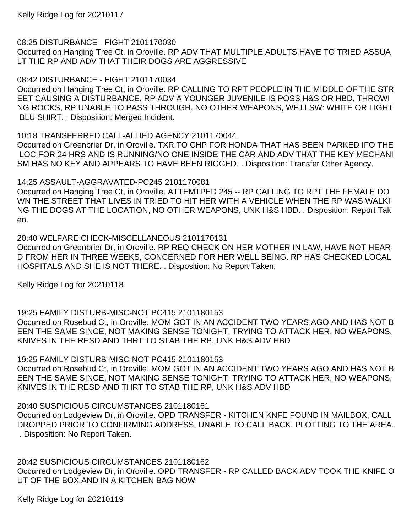08:25 DISTURBANCE - FIGHT 2101170030

Occurred on Hanging Tree Ct, in Oroville. RP ADV THAT MULTIPLE ADULTS HAVE TO TRIED ASSUA LT THE RP AND ADV THAT THEIR DOGS ARE AGGRESSIVE

08:42 DISTURBANCE - FIGHT 2101170034

Occurred on Hanging Tree Ct, in Oroville. RP CALLING TO RPT PEOPLE IN THE MIDDLE OF THE STR EET CAUSING A DISTURBANCE, RP ADV A YOUNGER JUVENILE IS POSS H&S OR HBD, THROWI NG ROCKS, RP UNABLE TO PASS THROUGH, NO OTHER WEAPONS, WFJ LSW: WHITE OR LIGHT BLU SHIRT. . Disposition: Merged Incident.

10:18 TRANSFERRED CALL-ALLIED AGENCY 2101170044 Occurred on Greenbrier Dr, in Oroville. TXR TO CHP FOR HONDA THAT HAS BEEN PARKED IFO THE LOC FOR 24 HRS AND IS RUNNING/NO ONE INSIDE THE CAR AND ADV THAT THE KEY MECHANI SM HAS NO KEY AND APPEARS TO HAVE BEEN RIGGED. . Disposition: Transfer Other Agency.

## 14:25 ASSAULT-AGGRAVATED-PC245 2101170081

Occurred on Hanging Tree Ct, in Oroville. ATTEMTPED 245 -- RP CALLING TO RPT THE FEMALE DO WN THE STREET THAT LIVES IN TRIED TO HIT HER WITH A VEHICLE WHEN THE RP WAS WALKI NG THE DOGS AT THE LOCATION, NO OTHER WEAPONS, UNK H&S HBD. . Disposition: Report Tak en.

20:40 WELFARE CHECK-MISCELLANEOUS 2101170131

Occurred on Greenbrier Dr, in Oroville. RP REQ CHECK ON HER MOTHER IN LAW, HAVE NOT HEAR D FROM HER IN THREE WEEKS, CONCERNED FOR HER WELL BEING. RP HAS CHECKED LOCAL HOSPITALS AND SHE IS NOT THERE. . Disposition: No Report Taken.

Kelly Ridge Log for 20210118

19:25 FAMILY DISTURB-MISC-NOT PC415 2101180153

Occurred on Rosebud Ct, in Oroville. MOM GOT IN AN ACCIDENT TWO YEARS AGO AND HAS NOT B EEN THE SAME SINCE, NOT MAKING SENSE TONIGHT, TRYING TO ATTACK HER, NO WEAPONS, KNIVES IN THE RESD AND THRT TO STAB THE RP, UNK H&S ADV HBD

19:25 FAMILY DISTURB-MISC-NOT PC415 2101180153

Occurred on Rosebud Ct, in Oroville. MOM GOT IN AN ACCIDENT TWO YEARS AGO AND HAS NOT B EEN THE SAME SINCE, NOT MAKING SENSE TONIGHT, TRYING TO ATTACK HER, NO WEAPONS, KNIVES IN THE RESD AND THRT TO STAB THE RP, UNK H&S ADV HBD

20:40 SUSPICIOUS CIRCUMSTANCES 2101180161

Occurred on Lodgeview Dr, in Oroville. OPD TRANSFER - KITCHEN KNFE FOUND IN MAILBOX, CALL DROPPED PRIOR TO CONFIRMING ADDRESS, UNABLE TO CALL BACK, PLOTTING TO THE AREA. . Disposition: No Report Taken.

20:42 SUSPICIOUS CIRCUMSTANCES 2101180162 Occurred on Lodgeview Dr, in Oroville. OPD TRANSFER - RP CALLED BACK ADV TOOK THE KNIFE O UT OF THE BOX AND IN A KITCHEN BAG NOW

Kelly Ridge Log for 20210119